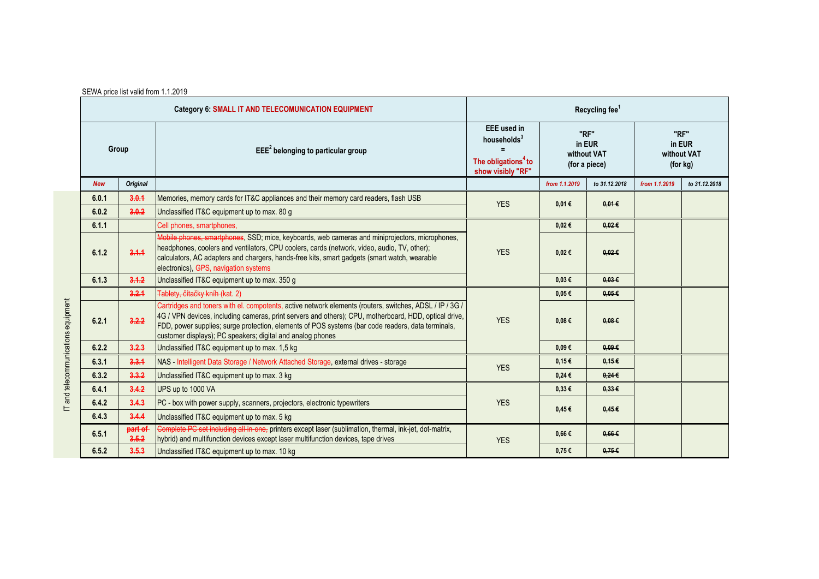| SEWA price list valid from 1.1.2019 |  |  |  |
|-------------------------------------|--|--|--|
|-------------------------------------|--|--|--|

| <b>Category 6: SMALL IT AND TELECOMUNICATION EQUIPMENT</b> |                  | Recycling fee <sup>1</sup>                                                                                                                                                                                                                                                                                                                                                          |                                                                                                              |                                                |                 |                                           |               |
|------------------------------------------------------------|------------------|-------------------------------------------------------------------------------------------------------------------------------------------------------------------------------------------------------------------------------------------------------------------------------------------------------------------------------------------------------------------------------------|--------------------------------------------------------------------------------------------------------------|------------------------------------------------|-----------------|-------------------------------------------|---------------|
| Group                                                      |                  | $EEE2$ belonging to particular group                                                                                                                                                                                                                                                                                                                                                | <b>EEE</b> used in<br>households <sup>3</sup><br>$=$<br>The obligations <sup>4</sup> to<br>show visibly "RF" | "RF"<br>in EUR<br>without VAT<br>(for a piece) |                 | "RF"<br>in EUR<br>without VAT<br>(for kg) |               |
| <b>New</b>                                                 | <b>Original</b>  |                                                                                                                                                                                                                                                                                                                                                                                     |                                                                                                              | from 1.1.2019                                  | to 31.12.2018   | from 1.1.2019                             | to 31.12.2018 |
| 6.0.1                                                      | 3.0.1            | Memories, memory cards for IT&C appliances and their memory card readers, flash USB                                                                                                                                                                                                                                                                                                 | <b>YES</b>                                                                                                   | 0,01€                                          | $0.01 \in$      |                                           |               |
| 6.0.2                                                      | 3.0.2            | Unclassified IT&C equipment up to max. 80 g                                                                                                                                                                                                                                                                                                                                         |                                                                                                              |                                                |                 |                                           |               |
| 6.1.1                                                      |                  | Cell phones, smartphones,                                                                                                                                                                                                                                                                                                                                                           |                                                                                                              | $0,02 \in$                                     | $0.02 \in$      |                                           |               |
| 6.1.2                                                      | 3.1.1            | Mobile phones, smartphones, SSD; mice, keyboards, web cameras and miniprojectors, microphones,<br>headphones, coolers and ventilators, CPU coolers, cards (network, video, audio, TV, other);<br>calculators, AC adapters and chargers, hands-free kits, smart gadgets (smart watch, wearable<br>electronics), GPS, navigation systems                                              | <b>YES</b>                                                                                                   | $0,02 \in$                                     | $0.02 \in$      |                                           |               |
| 6.1.3                                                      | 3.1.2            | Unclassified IT&C equipment up to max. 350 g                                                                                                                                                                                                                                                                                                                                        |                                                                                                              | $0.03 \in$                                     | 0.03E           |                                           |               |
|                                                            | 3.2.1            | Tablety, čítačky kníh (kat. 2)                                                                                                                                                                                                                                                                                                                                                      |                                                                                                              | $0.05 \in$                                     | 0.05E           |                                           |               |
| 6.2.1                                                      | 3.2.2            | Cartridges and toners with el. compotents, active network elements (routers, switches, ADSL / IP / 3G /<br>4G / VPN devices, including cameras, print servers and others); CPU, motherboard, HDD, optical drive,<br>FDD, power supplies; surge protection, elements of POS systems (bar code readers, data terminals,<br>customer displays); PC speakers; digital and analog phones | <b>YES</b>                                                                                                   | $0.08 \in$                                     | 0.08E           |                                           |               |
| 6.2.2                                                      | 3,2,3            | Unclassified IT&C equipment up to max. 1,5 kg                                                                                                                                                                                                                                                                                                                                       |                                                                                                              | $0.09 \in$                                     | $0.09 \in$      |                                           |               |
| 6.3.1                                                      | 3,3,4            | NAS - Intelligent Data Storage / Network Attached Storage, external drives - storage                                                                                                                                                                                                                                                                                                |                                                                                                              | 0.15E                                          | 0.15E           |                                           |               |
| 6.3.2                                                      | 3,3.2            | Unclassified IT&C equipment up to max. 3 kg                                                                                                                                                                                                                                                                                                                                         | <b>YES</b>                                                                                                   | $0,24 \in$                                     | $0.24 \epsilon$ |                                           |               |
| 6.4.1                                                      | 3.4.2            | UPS up to 1000 VA                                                                                                                                                                                                                                                                                                                                                                   | <b>YES</b>                                                                                                   | $0,33 \in$                                     | $0.33 \in$      |                                           |               |
| 6.4.2                                                      | 3.4.3            | PC - box with power supply, scanners, projectors, electronic typewriters                                                                                                                                                                                                                                                                                                            |                                                                                                              | $0.45 \in$                                     | 0.45E           |                                           |               |
| 6.4.3                                                      | 3.4.4            | Unclassified IT&C equipment up to max. 5 kg                                                                                                                                                                                                                                                                                                                                         |                                                                                                              |                                                |                 |                                           |               |
| 6.5.1                                                      | part of<br>3.5.2 | Complete PC set including all-in-one, printers except laser (sublimation, thermal, ink-jet, dot-matrix,<br>hybrid) and multifunction devices except laser multifunction devices, tape drives                                                                                                                                                                                        | <b>YES</b>                                                                                                   | $0,66 \in$                                     | $0.66 \in$      |                                           |               |
| 6.5.2                                                      | 3.5.3            | Unclassified IT&C equipment up to max. 10 kg                                                                                                                                                                                                                                                                                                                                        |                                                                                                              | 0.75E                                          | 0.75E           |                                           |               |

IT and telecommunications equipment IT and telecommunications equipment